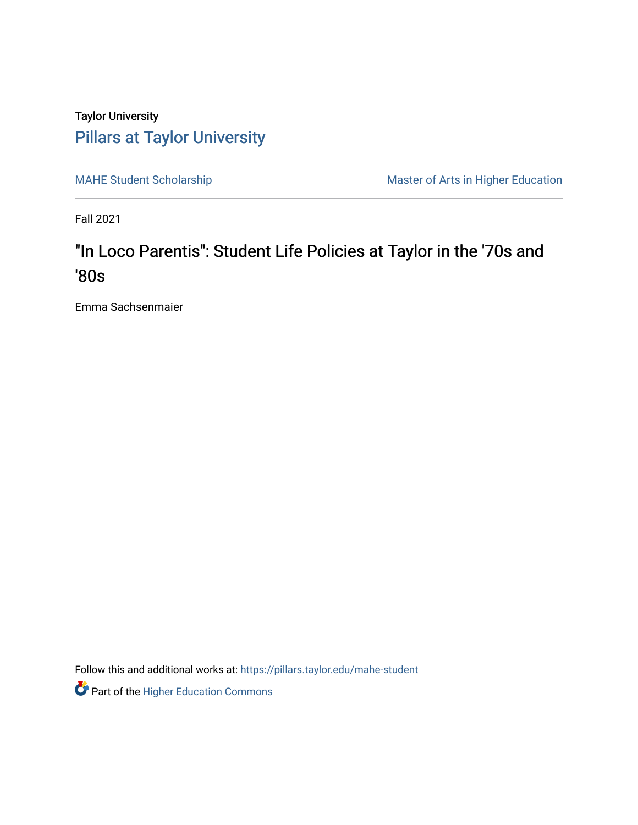## Taylor University [Pillars at Taylor University](https://pillars.taylor.edu/)

[MAHE Student Scholarship](https://pillars.taylor.edu/mahe-student) Master of Arts in Higher Education

Fall 2021

# "In Loco Parentis": Student Life Policies at Taylor in the '70s and '80s

Emma Sachsenmaier

Follow this and additional works at: https://pillars.taylor.edu/mahe-student

Part of the [Higher Education Commons](http://network.bepress.com/hgg/discipline/1245?utm_source=pillars.taylor.edu%2Fmahe-student%2F12&utm_medium=PDF&utm_campaign=PDFCoverPages)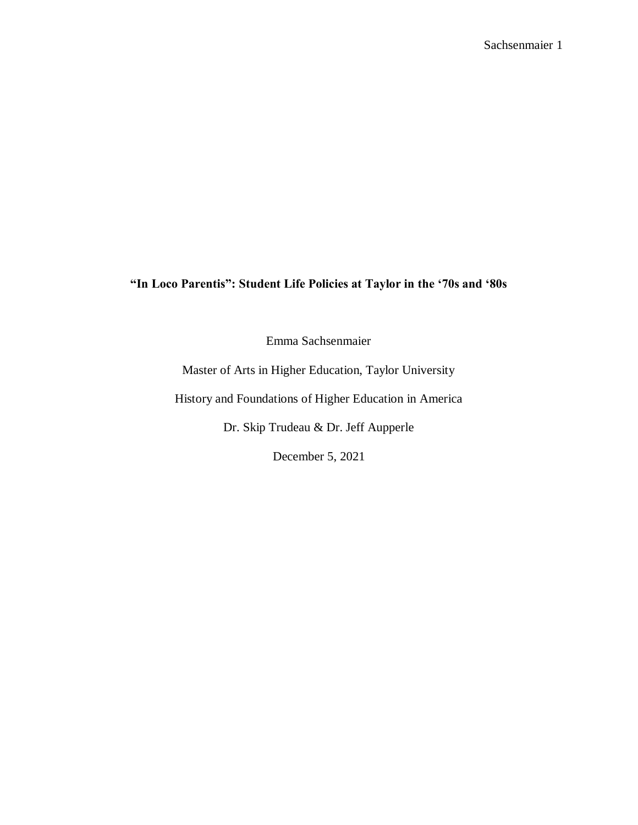### **"In Loco Parentis": Student Life Policies at Taylor in the '70s and '80s**

Emma Sachsenmaier

Master of Arts in Higher Education, Taylor University

History and Foundations of Higher Education in America

Dr. Skip Trudeau & Dr. Jeff Aupperle

December 5, 2021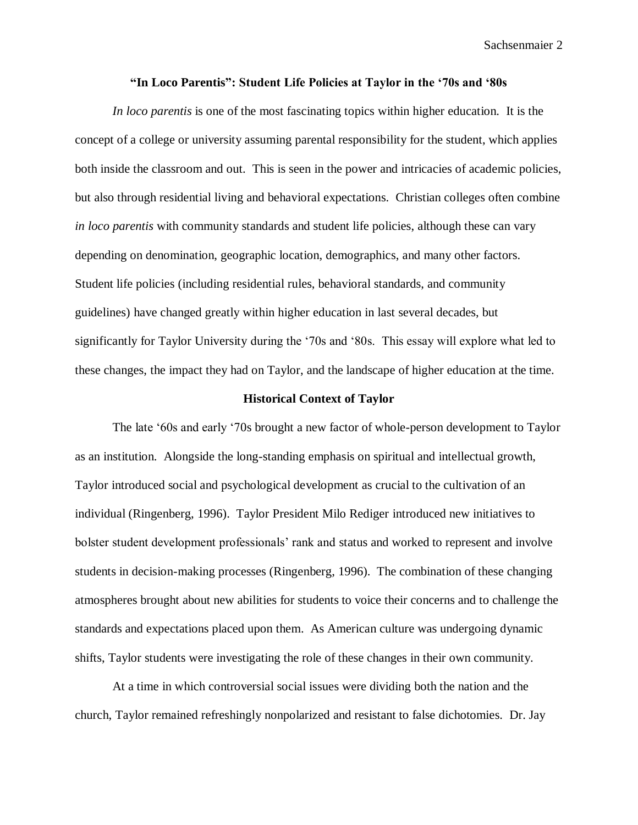#### **"In Loco Parentis": Student Life Policies at Taylor in the '70s and '80s**

*In loco parentis* is one of the most fascinating topics within higher education. It is the concept of a college or university assuming parental responsibility for the student, which applies both inside the classroom and out. This is seen in the power and intricacies of academic policies, but also through residential living and behavioral expectations. Christian colleges often combine *in loco parentis* with community standards and student life policies, although these can vary depending on denomination, geographic location, demographics, and many other factors. Student life policies (including residential rules, behavioral standards, and community guidelines) have changed greatly within higher education in last several decades, but significantly for Taylor University during the '70s and '80s. This essay will explore what led to these changes, the impact they had on Taylor, and the landscape of higher education at the time.

#### **Historical Context of Taylor**

The late '60s and early '70s brought a new factor of whole-person development to Taylor as an institution. Alongside the long-standing emphasis on spiritual and intellectual growth, Taylor introduced social and psychological development as crucial to the cultivation of an individual (Ringenberg, 1996). Taylor President Milo Rediger introduced new initiatives to bolster student development professionals' rank and status and worked to represent and involve students in decision-making processes (Ringenberg, 1996). The combination of these changing atmospheres brought about new abilities for students to voice their concerns and to challenge the standards and expectations placed upon them. As American culture was undergoing dynamic shifts, Taylor students were investigating the role of these changes in their own community.

At a time in which controversial social issues were dividing both the nation and the church, Taylor remained refreshingly nonpolarized and resistant to false dichotomies. Dr. Jay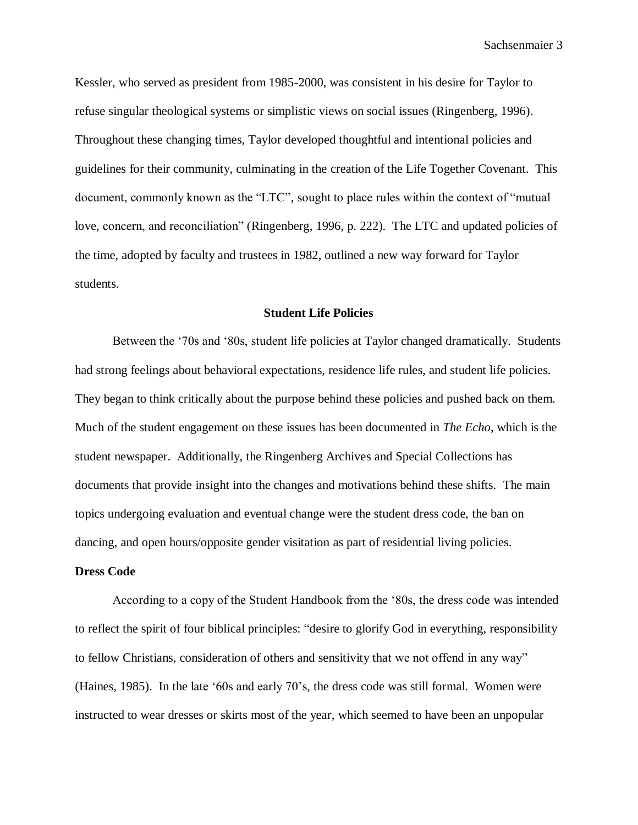Kessler, who served as president from 1985-2000, was consistent in his desire for Taylor to refuse singular theological systems or simplistic views on social issues (Ringenberg, 1996). Throughout these changing times, Taylor developed thoughtful and intentional policies and guidelines for their community, culminating in the creation of the Life Together Covenant. This document, commonly known as the "LTC", sought to place rules within the context of "mutual love, concern, and reconciliation" (Ringenberg, 1996, p. 222). The LTC and updated policies of the time, adopted by faculty and trustees in 1982, outlined a new way forward for Taylor students.

#### **Student Life Policies**

Between the '70s and '80s, student life policies at Taylor changed dramatically. Students had strong feelings about behavioral expectations, residence life rules, and student life policies. They began to think critically about the purpose behind these policies and pushed back on them. Much of the student engagement on these issues has been documented in *The Echo*, which is the student newspaper. Additionally, the Ringenberg Archives and Special Collections has documents that provide insight into the changes and motivations behind these shifts. The main topics undergoing evaluation and eventual change were the student dress code, the ban on dancing, and open hours/opposite gender visitation as part of residential living policies.

#### **Dress Code**

According to a copy of the Student Handbook from the '80s, the dress code was intended to reflect the spirit of four biblical principles: "desire to glorify God in everything, responsibility to fellow Christians, consideration of others and sensitivity that we not offend in any way" (Haines, 1985). In the late '60s and early 70's, the dress code was still formal. Women were instructed to wear dresses or skirts most of the year, which seemed to have been an unpopular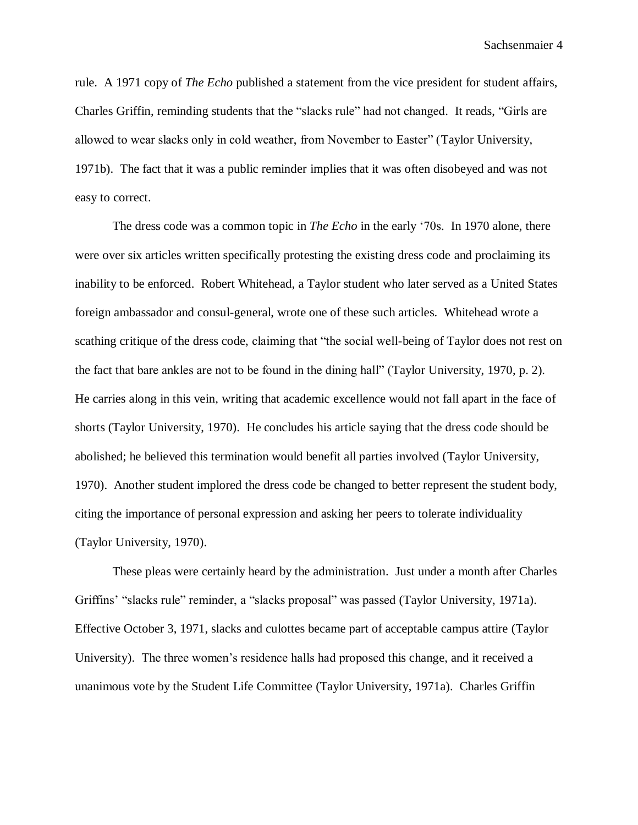rule. A 1971 copy of *The Echo* published a statement from the vice president for student affairs, Charles Griffin, reminding students that the "slacks rule" had not changed. It reads, "Girls are allowed to wear slacks only in cold weather, from November to Easter" (Taylor University, 1971b). The fact that it was a public reminder implies that it was often disobeyed and was not easy to correct.

The dress code was a common topic in *The Echo* in the early '70s. In 1970 alone, there were over six articles written specifically protesting the existing dress code and proclaiming its inability to be enforced. Robert Whitehead, a Taylor student who later served as a United States foreign ambassador and consul-general, wrote one of these such articles. Whitehead wrote a scathing critique of the dress code, claiming that "the social well-being of Taylor does not rest on the fact that bare ankles are not to be found in the dining hall" (Taylor University, 1970, p. 2). He carries along in this vein, writing that academic excellence would not fall apart in the face of shorts (Taylor University, 1970). He concludes his article saying that the dress code should be abolished; he believed this termination would benefit all parties involved (Taylor University, 1970). Another student implored the dress code be changed to better represent the student body, citing the importance of personal expression and asking her peers to tolerate individuality (Taylor University, 1970).

These pleas were certainly heard by the administration. Just under a month after Charles Griffins' "slacks rule" reminder, a "slacks proposal" was passed (Taylor University, 1971a). Effective October 3, 1971, slacks and culottes became part of acceptable campus attire (Taylor University). The three women's residence halls had proposed this change, and it received a unanimous vote by the Student Life Committee (Taylor University, 1971a). Charles Griffin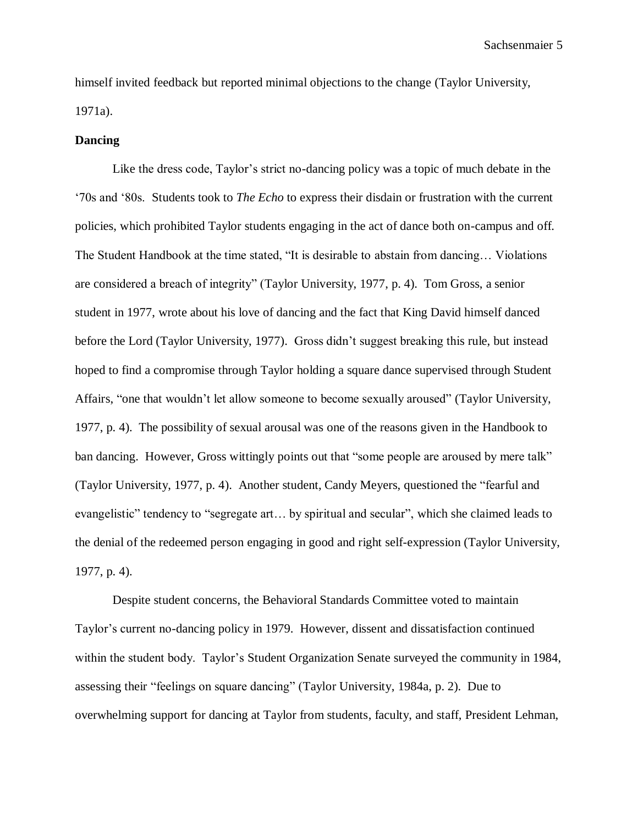himself invited feedback but reported minimal objections to the change (Taylor University, 1971a).

#### **Dancing**

Like the dress code, Taylor's strict no-dancing policy was a topic of much debate in the '70s and '80s. Students took to *The Echo* to express their disdain or frustration with the current policies, which prohibited Taylor students engaging in the act of dance both on-campus and off. The Student Handbook at the time stated, "It is desirable to abstain from dancing… Violations are considered a breach of integrity" (Taylor University, 1977, p. 4). Tom Gross, a senior student in 1977, wrote about his love of dancing and the fact that King David himself danced before the Lord (Taylor University, 1977). Gross didn't suggest breaking this rule, but instead hoped to find a compromise through Taylor holding a square dance supervised through Student Affairs, "one that wouldn't let allow someone to become sexually aroused" (Taylor University, 1977, p. 4). The possibility of sexual arousal was one of the reasons given in the Handbook to ban dancing. However, Gross wittingly points out that "some people are aroused by mere talk" (Taylor University, 1977, p. 4). Another student, Candy Meyers, questioned the "fearful and evangelistic" tendency to "segregate art… by spiritual and secular", which she claimed leads to the denial of the redeemed person engaging in good and right self-expression (Taylor University, 1977, p. 4).

Despite student concerns, the Behavioral Standards Committee voted to maintain Taylor's current no-dancing policy in 1979. However, dissent and dissatisfaction continued within the student body. Taylor's Student Organization Senate surveyed the community in 1984, assessing their "feelings on square dancing" (Taylor University, 1984a, p. 2). Due to overwhelming support for dancing at Taylor from students, faculty, and staff, President Lehman,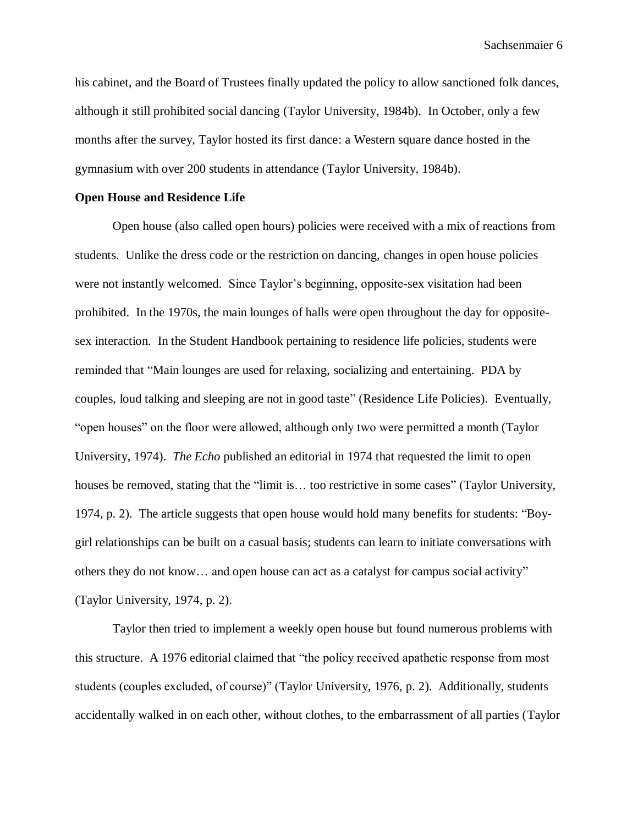his cabinet, and the Board of Trustees finally updated the policy to allow sanctioned folk dances, although it still prohibited social dancing (Taylor University, 1984b). In October, only a few months after the survey, Taylor hosted its first dance: a Western square dance hosted in the gymnasium with over 200 students in attendance (Taylor University, 1984b).

#### **Open House and Residence Life**

Open house (also called open hours) policies were received with a mix of reactions from students. Unlike the dress code or the restriction on dancing, changes in open house policies were not instantly welcomed. Since Taylor's beginning, opposite-sex visitation had been prohibited. In the 1970s, the main lounges of halls were open throughout the day for oppositesex interaction. In the Student Handbook pertaining to residence life policies, students were reminded that "Main lounges are used for relaxing, socializing and entertaining. PDA by couples, loud talking and sleeping are not in good taste" (Residence Life Policies). Eventually, "open houses" on the floor were allowed, although only two were permitted a month (Taylor University, 1974). *The Echo* published an editorial in 1974 that requested the limit to open houses be removed, stating that the "limit is... too restrictive in some cases" (Taylor University, 1974, p. 2). The article suggests that open house would hold many benefits for students: "Boygirl relationships can be built on a casual basis; students can learn to initiate conversations with others they do not know… and open house can act as a catalyst for campus social activity" (Taylor University, 1974, p. 2).

Taylor then tried to implement a weekly open house but found numerous problems with this structure. A 1976 editorial claimed that "the policy received apathetic response from most students (couples excluded, of course)" (Taylor University, 1976, p. 2). Additionally, students accidentally walked in on each other, without clothes, to the embarrassment of all parties (Taylor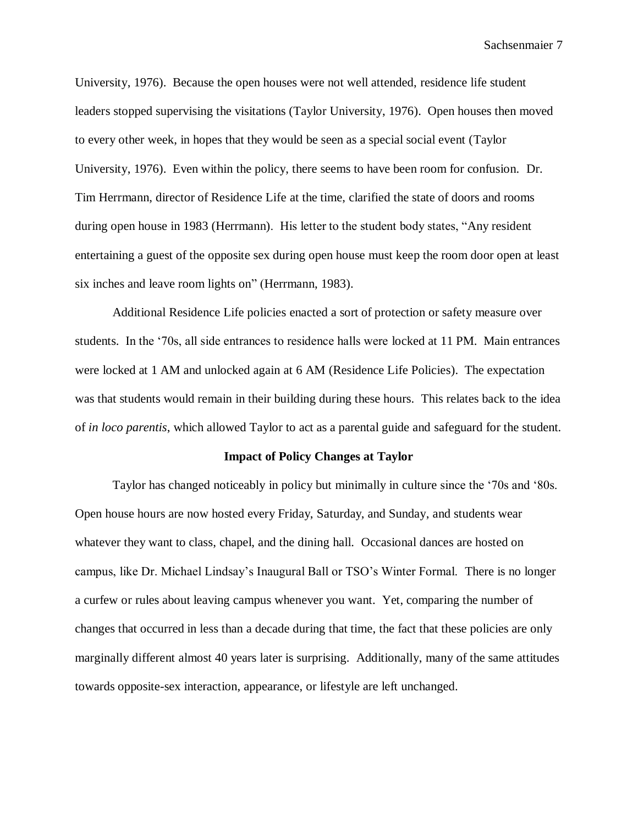University, 1976). Because the open houses were not well attended, residence life student leaders stopped supervising the visitations (Taylor University, 1976). Open houses then moved to every other week, in hopes that they would be seen as a special social event (Taylor University, 1976). Even within the policy, there seems to have been room for confusion. Dr. Tim Herrmann, director of Residence Life at the time, clarified the state of doors and rooms during open house in 1983 (Herrmann). His letter to the student body states, "Any resident entertaining a guest of the opposite sex during open house must keep the room door open at least six inches and leave room lights on" (Herrmann, 1983).

Additional Residence Life policies enacted a sort of protection or safety measure over students. In the '70s, all side entrances to residence halls were locked at 11 PM. Main entrances were locked at 1 AM and unlocked again at 6 AM (Residence Life Policies). The expectation was that students would remain in their building during these hours. This relates back to the idea of *in loco parentis*, which allowed Taylor to act as a parental guide and safeguard for the student.

#### **Impact of Policy Changes at Taylor**

Taylor has changed noticeably in policy but minimally in culture since the '70s and '80s. Open house hours are now hosted every Friday, Saturday, and Sunday, and students wear whatever they want to class, chapel, and the dining hall. Occasional dances are hosted on campus, like Dr. Michael Lindsay's Inaugural Ball or TSO's Winter Formal. There is no longer a curfew or rules about leaving campus whenever you want. Yet, comparing the number of changes that occurred in less than a decade during that time, the fact that these policies are only marginally different almost 40 years later is surprising. Additionally, many of the same attitudes towards opposite-sex interaction, appearance, or lifestyle are left unchanged.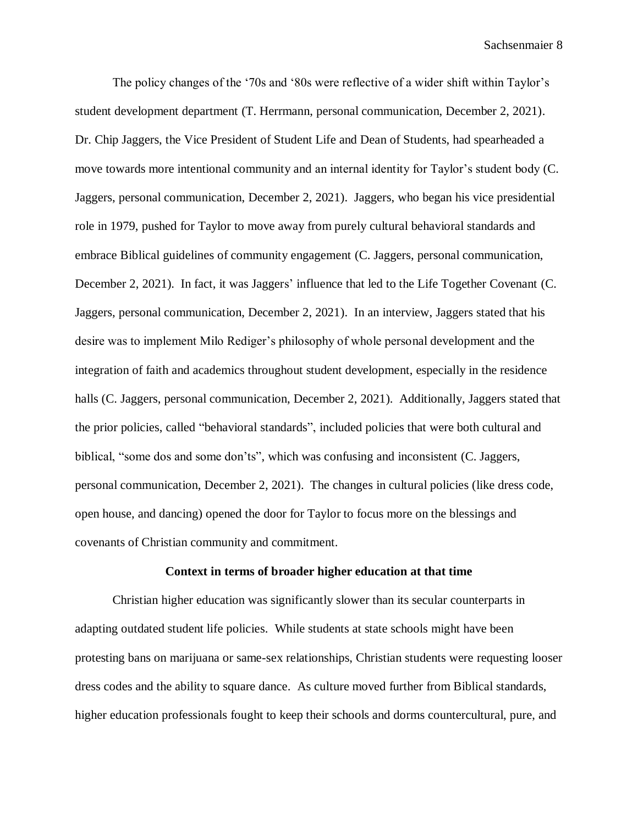The policy changes of the '70s and '80s were reflective of a wider shift within Taylor's student development department (T. Herrmann, personal communication, December 2, 2021). Dr. Chip Jaggers, the Vice President of Student Life and Dean of Students, had spearheaded a move towards more intentional community and an internal identity for Taylor's student body (C. Jaggers, personal communication, December 2, 2021). Jaggers, who began his vice presidential role in 1979, pushed for Taylor to move away from purely cultural behavioral standards and embrace Biblical guidelines of community engagement (C. Jaggers, personal communication, December 2, 2021). In fact, it was Jaggers' influence that led to the Life Together Covenant (C. Jaggers, personal communication, December 2, 2021). In an interview, Jaggers stated that his desire was to implement Milo Rediger's philosophy of whole personal development and the integration of faith and academics throughout student development, especially in the residence halls (C. Jaggers, personal communication, December 2, 2021). Additionally, Jaggers stated that the prior policies, called "behavioral standards", included policies that were both cultural and biblical, "some dos and some don'ts", which was confusing and inconsistent (C. Jaggers, personal communication, December 2, 2021). The changes in cultural policies (like dress code, open house, and dancing) opened the door for Taylor to focus more on the blessings and covenants of Christian community and commitment.

#### **Context in terms of broader higher education at that time**

Christian higher education was significantly slower than its secular counterparts in adapting outdated student life policies. While students at state schools might have been protesting bans on marijuana or same-sex relationships, Christian students were requesting looser dress codes and the ability to square dance. As culture moved further from Biblical standards, higher education professionals fought to keep their schools and dorms countercultural, pure, and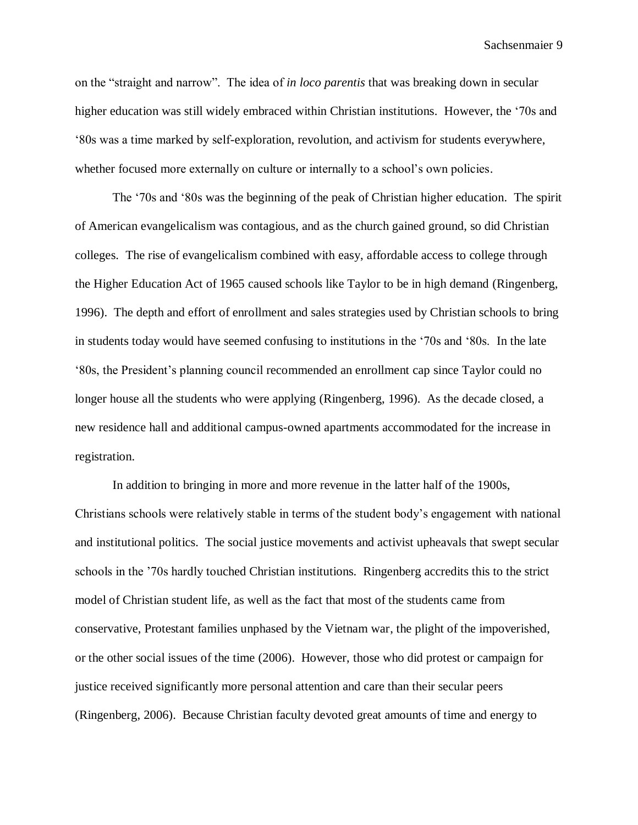on the "straight and narrow". The idea of *in loco parentis* that was breaking down in secular higher education was still widely embraced within Christian institutions. However, the '70s and '80s was a time marked by self-exploration, revolution, and activism for students everywhere, whether focused more externally on culture or internally to a school's own policies.

The '70s and '80s was the beginning of the peak of Christian higher education. The spirit of American evangelicalism was contagious, and as the church gained ground, so did Christian colleges. The rise of evangelicalism combined with easy, affordable access to college through the Higher Education Act of 1965 caused schools like Taylor to be in high demand (Ringenberg, 1996). The depth and effort of enrollment and sales strategies used by Christian schools to bring in students today would have seemed confusing to institutions in the '70s and '80s. In the late '80s, the President's planning council recommended an enrollment cap since Taylor could no longer house all the students who were applying (Ringenberg, 1996). As the decade closed, a new residence hall and additional campus-owned apartments accommodated for the increase in registration.

In addition to bringing in more and more revenue in the latter half of the 1900s, Christians schools were relatively stable in terms of the student body's engagement with national and institutional politics. The social justice movements and activist upheavals that swept secular schools in the '70s hardly touched Christian institutions. Ringenberg accredits this to the strict model of Christian student life, as well as the fact that most of the students came from conservative, Protestant families unphased by the Vietnam war, the plight of the impoverished, or the other social issues of the time (2006). However, those who did protest or campaign for justice received significantly more personal attention and care than their secular peers (Ringenberg, 2006). Because Christian faculty devoted great amounts of time and energy to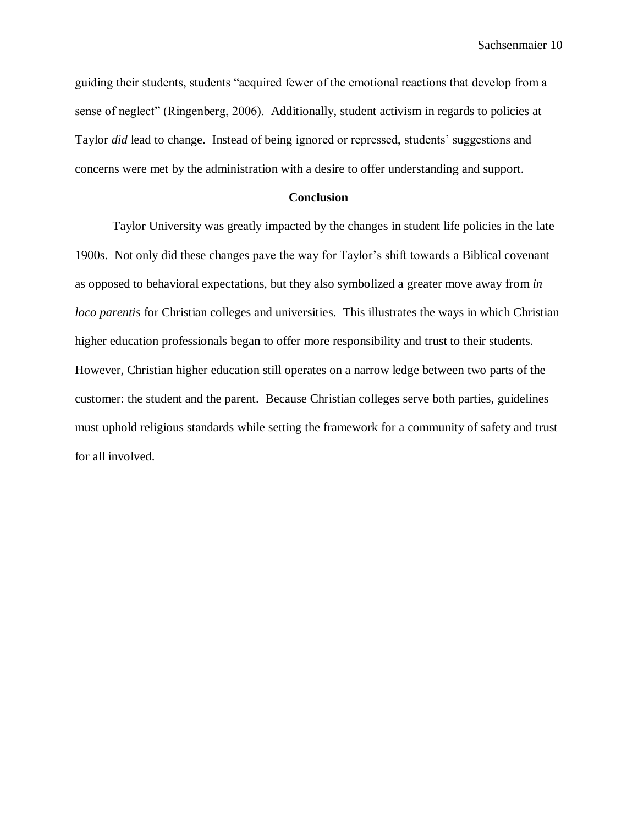guiding their students, students "acquired fewer of the emotional reactions that develop from a sense of neglect" (Ringenberg, 2006). Additionally, student activism in regards to policies at Taylor *did* lead to change. Instead of being ignored or repressed, students' suggestions and concerns were met by the administration with a desire to offer understanding and support.

#### **Conclusion**

Taylor University was greatly impacted by the changes in student life policies in the late 1900s. Not only did these changes pave the way for Taylor's shift towards a Biblical covenant as opposed to behavioral expectations, but they also symbolized a greater move away from *in loco parentis* for Christian colleges and universities. This illustrates the ways in which Christian higher education professionals began to offer more responsibility and trust to their students. However, Christian higher education still operates on a narrow ledge between two parts of the customer: the student and the parent. Because Christian colleges serve both parties, guidelines must uphold religious standards while setting the framework for a community of safety and trust for all involved.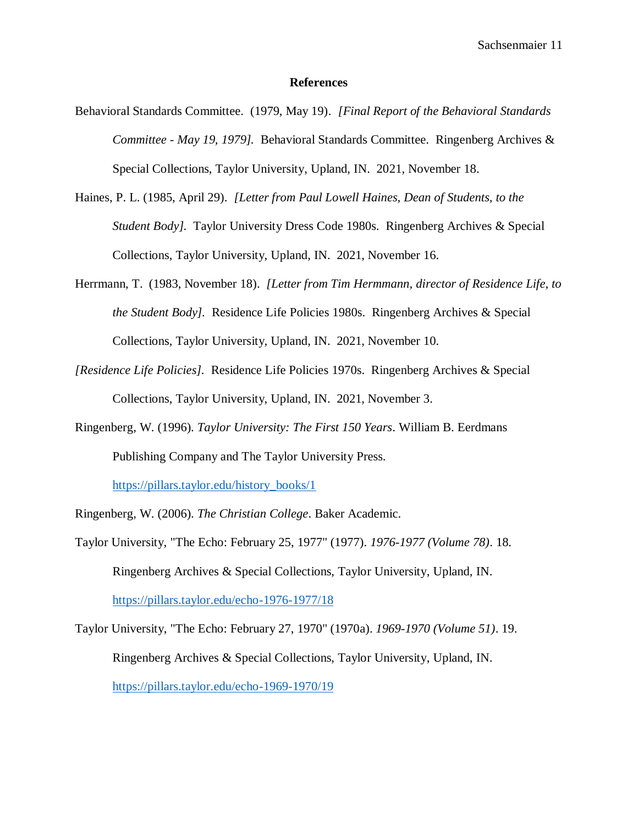#### **References**

- Behavioral Standards Committee. (1979, May 19). *[Final Report of the Behavioral Standards Committee - May 19, 1979].* Behavioral Standards Committee. Ringenberg Archives & Special Collections, Taylor University, Upland, IN. 2021, November 18.
- Haines, P. L. (1985, April 29). *[Letter from Paul Lowell Haines, Dean of Students, to the Student Body].* Taylor University Dress Code 1980s. Ringenberg Archives & Special Collections, Taylor University, Upland, IN. 2021, November 16.
- Herrmann, T. (1983, November 18). *[Letter from Tim Hermmann, director of Residence Life, to the Student Body].* Residence Life Policies 1980s. Ringenberg Archives & Special Collections, Taylor University, Upland, IN. 2021, November 10.
- *[Residence Life Policies].* Residence Life Policies 1970s. Ringenberg Archives & Special Collections, Taylor University, Upland, IN. 2021, November 3.
- Ringenberg, W. (1996). *Taylor University: The First 150 Years*. William B. Eerdmans Publishing Company and The Taylor University Press.

[https://pillars.taylor.edu/history\\_books/1](https://pillars.taylor.edu/history_books/1)

Ringenberg, W. (2006). *The Christian College*. Baker Academic.

- Taylor University, "The Echo: February 25, 1977" (1977). *1976-1977 (Volume 78)*. 18. Ringenberg Archives & Special Collections, Taylor University, Upland, IN. <https://pillars.taylor.edu/echo-1976-1977/18>
- Taylor University, "The Echo: February 27, 1970" (1970a). *1969-1970 (Volume 51)*. 19. Ringenberg Archives & Special Collections, Taylor University, Upland, IN. <https://pillars.taylor.edu/echo-1969-1970/19>